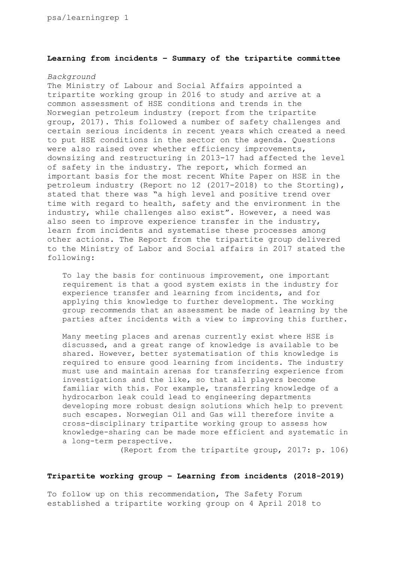## **Learning from incidents – Summary of the tripartite committee**

## *Background*

The Ministry of Labour and Social Affairs appointed a tripartite working group in 2016 to study and arrive at a common assessment of HSE conditions and trends in the Norwegian petroleum industry (report from the tripartite group, 2017). This followed a number of safety challenges and certain serious incidents in recent years which created a need to put HSE conditions in the sector on the agenda. Questions were also raised over whether efficiency improvements, downsizing and restructuring in 2013-17 had affected the level of safety in the industry. The report, which formed an important basis for the most recent White Paper on HSE in the petroleum industry (Report no 12 (2017-2018) to the Storting), stated that there was "a high level and positive trend over time with regard to health, safety and the environment in the industry, while challenges also exist". However, a need was also seen to improve experience transfer in the industry, learn from incidents and systematise these processes among other actions. The Report from the tripartite group delivered to the Ministry of Labor and Social affairs in 2017 stated the following:

To lay the basis for continuous improvement, one important requirement is that a good system exists in the industry for experience transfer and learning from incidents, and for applying this knowledge to further development. The working group recommends that an assessment be made of learning by the parties after incidents with a view to improving this further.

Many meeting places and arenas currently exist where HSE is discussed, and a great range of knowledge is available to be shared. However, better systematisation of this knowledge is required to ensure good learning from incidents. The industry must use and maintain arenas for transferring experience from investigations and the like, so that all players become familiar with this. For example, transferring knowledge of a hydrocarbon leak could lead to engineering departments developing more robust design solutions which help to prevent such escapes. Norwegian Oil and Gas will therefore invite a cross-disciplinary tripartite working group to assess how knowledge-sharing can be made more efficient and systematic in a long-term perspective.

(Report from the tripartite group, 2017: p. 106)

#### **Tripartite working group – Learning from incidents (2018-2019)**

To follow up on this recommendation, The Safety Forum established a tripartite working group on 4 April 2018 to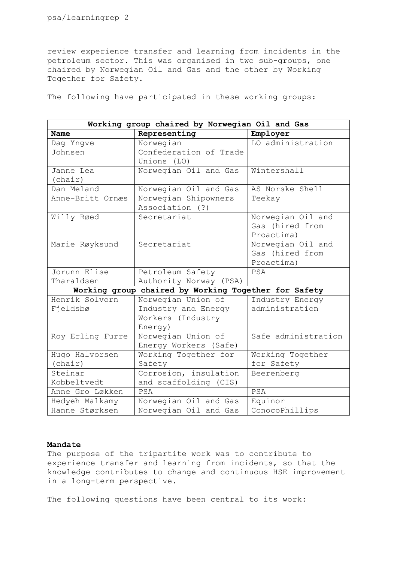review experience transfer and learning from incidents in the petroleum sector. This was organised in two sub-groups, one chaired by Norwegian Oil and Gas and the other by Working Together for Safety.

The following have participated in these working groups:

| Working group chaired by Norwegian Oil and Gas       |                        |                     |
|------------------------------------------------------|------------------------|---------------------|
| Name                                                 | Representing           | Employer            |
| Dag Yngve                                            | Norwegian              | LO administration   |
| Johnsen                                              | Confederation of Trade |                     |
|                                                      | Unions (LO)            |                     |
| Janne Lea                                            | Norwegian Oil and Gas  | Wintershall         |
| (char)                                               |                        |                     |
| Dan Meland                                           | Norwegian Oil and Gas  | AS Norske Shell     |
| Anne-Britt Ornæs                                     | Norwegian Shipowners   | Teekay              |
|                                                      | Association (?)        |                     |
| Willy Røed                                           | Secretariat            | Norwegian Oil and   |
|                                                      |                        | Gas (hired from     |
|                                                      |                        | Proactima)          |
| Marie Røyksund                                       | Secretariat            | Norwegian Oil and   |
|                                                      |                        | Gas (hired from     |
|                                                      |                        | Proactima)          |
| Jorunn Elise                                         | Petroleum Safety       | PSA                 |
| Tharaldsen                                           | Authority Norway (PSA) |                     |
| Working group chaired by Working Together for Safety |                        |                     |
| Henrik Solvorn                                       | Norwegian Union of     | Industry Energy     |
| Fjeldsbø                                             | Industry and Energy    | administration      |
|                                                      | Workers (Industry      |                     |
|                                                      | Energy)                |                     |
| Roy Erling Furre                                     | Norwegian Union of     | Safe administration |
|                                                      | Energy Workers (Safe)  |                     |
| Hugo Halvorsen                                       | Working Together for   | Working Together    |
| (char)                                               | Safety                 | for Safety          |
| Steinar                                              | Corrosion, insulation  | Beerenberg          |
| Kobbeltvedt                                          | and scaffolding (CIS)  |                     |
| Anne Gro Løkken                                      | PSA                    | PSA                 |
| Hedyeh Malkamy                                       | Norwegian Oil and Gas  | Equinor             |
| Hanne Størksen                                       | Norwegian Oil and Gas  | ConocoPhillips      |

## **Mandate**

The purpose of the tripartite work was to contribute to experience transfer and learning from incidents, so that the knowledge contributes to change and continuous HSE improvement in a long-term perspective.

The following questions have been central to its work: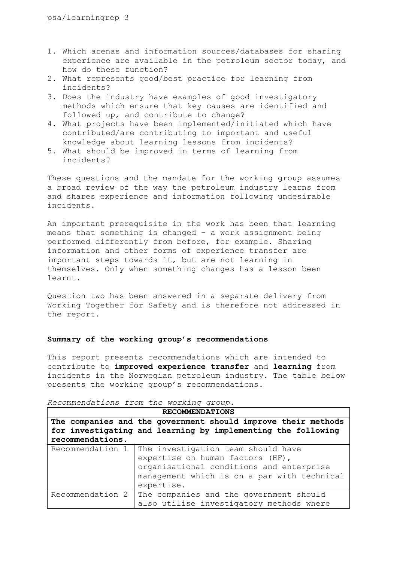- 1. Which arenas and information sources/databases for sharing experience are available in the petroleum sector today, and how do these function?
- 2. What represents good/best practice for learning from incidents?
- 3. Does the industry have examples of good investigatory methods which ensure that key causes are identified and followed up, and contribute to change?
- 4. What projects have been implemented/initiated which have contributed/are contributing to important and useful knowledge about learning lessons from incidents?
- 5. What should be improved in terms of learning from incidents?

These questions and the mandate for the working group assumes a broad review of the way the petroleum industry learns from and shares experience and information following undesirable incidents.

An important prerequisite in the work has been that learning means that something is changed – a work assignment being performed differently from before, for example. Sharing information and other forms of experience transfer are important steps towards it, but are not learning in themselves. Only when something changes has a lesson been learnt.

Question two has been answered in a separate delivery from Working Together for Safety and is therefore not addressed in the report.

# **Summary of the working group's recommendations**

This report presents recommendations which are intended to contribute to **improved experience transfer** and **learning** from incidents in the Norwegian petroleum industry. The table below presents the working group's recommendations.

| <b>RECOMMENDATIONS</b>                                        |                                                                                                                                                                                 |  |
|---------------------------------------------------------------|---------------------------------------------------------------------------------------------------------------------------------------------------------------------------------|--|
| The companies and the government should improve their methods |                                                                                                                                                                                 |  |
|                                                               | for investigating and learning by implementing the following                                                                                                                    |  |
| recommendations.                                              |                                                                                                                                                                                 |  |
| Recommendation 1                                              | The investigation team should have<br>expertise on human factors (HF),<br>organisational conditions and enterprise<br>management which is on a par with technical<br>expertise. |  |
| Recommendation 2                                              | The companies and the government should<br>also utilise investigatory methods where                                                                                             |  |

*Recommendations from the working group.*